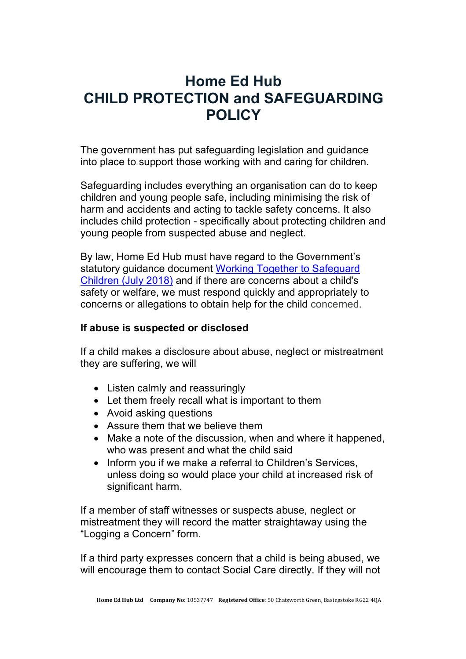# **Home Ed Hub CHILD PROTECTION and SAFEGUARDING POLICY**

The government has put safeguarding legislation and guidance into place to support those working with and caring for children.

Safeguarding includes everything an organisation can do to keep children and young people safe, including minimising the risk of harm and accidents and acting to tackle safety concerns. It also includes child protection - specifically about protecting children and young people from suspected abuse and neglect.

By law, Home Ed Hub must have regard to the Government's statutory guidance document Working Together to Safeguard Children (July 2018) and if there are concerns about a child's safety or welfare, we must respond quickly and appropriately to concerns or allegations to obtain help for the child concerned.

### **If abuse is suspected or disclosed**

If a child makes a disclosure about abuse, neglect or mistreatment they are suffering, we will

- Listen calmly and reassuringly
- Let them freely recall what is important to them
- Avoid asking questions
- Assure them that we believe them
- Make a note of the discussion, when and where it happened, who was present and what the child said
- Inform you if we make a referral to Children's Services, unless doing so would place your child at increased risk of significant harm.

If a member of staff witnesses or suspects abuse, neglect or mistreatment they will record the matter straightaway using the "Logging a Concern" form.

If a third party expresses concern that a child is being abused, we will encourage them to contact Social Care directly. If they will not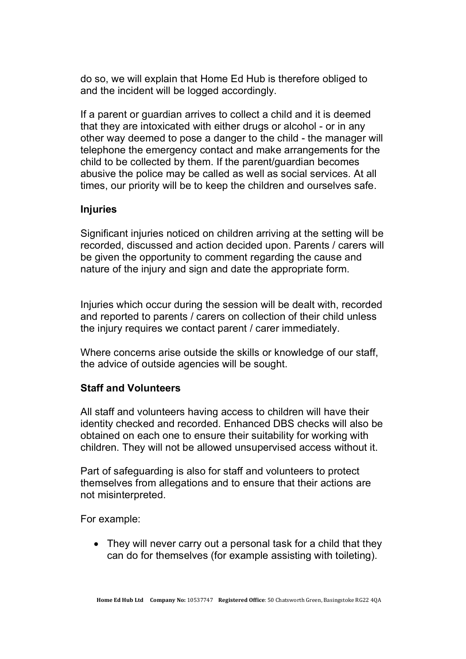do so, we will explain that Home Ed Hub is therefore obliged to and the incident will be logged accordingly.

If a parent or guardian arrives to collect a child and it is deemed that they are intoxicated with either drugs or alcohol - or in any other way deemed to pose a danger to the child - the manager will telephone the emergency contact and make arrangements for the child to be collected by them. If the parent/guardian becomes abusive the police may be called as well as social services. At all times, our priority will be to keep the children and ourselves safe.

### **Injuries**

Significant injuries noticed on children arriving at the setting will be recorded, discussed and action decided upon. Parents / carers will be given the opportunity to comment regarding the cause and nature of the injury and sign and date the appropriate form.

Injuries which occur during the session will be dealt with, recorded and reported to parents / carers on collection of their child unless the injury requires we contact parent / carer immediately.

Where concerns arise outside the skills or knowledge of our staff, the advice of outside agencies will be sought.

## **Staff and Volunteers**

All staff and volunteers having access to children will have their identity checked and recorded. Enhanced DBS checks will also be obtained on each one to ensure their suitability for working with children. They will not be allowed unsupervised access without it.

Part of safeguarding is also for staff and volunteers to protect themselves from allegations and to ensure that their actions are not misinterpreted.

For example:

• They will never carry out a personal task for a child that they can do for themselves (for example assisting with toileting).